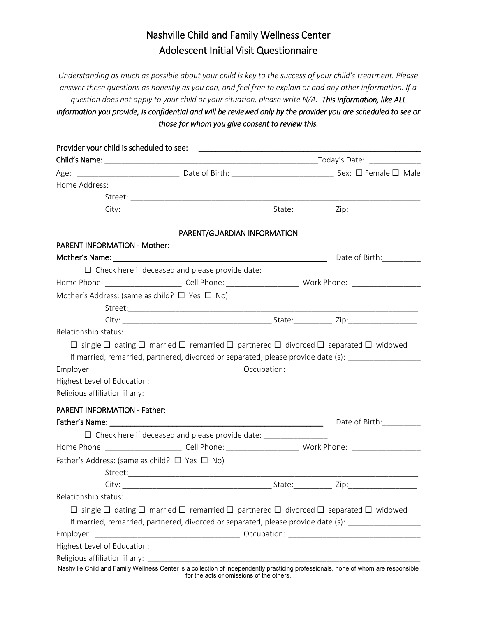# Nashville Child and Family Wellness Center Adolescent Initial Visit Questionnaire

*Understanding as much as possible about your child is key to the success of your child's treatment. Please answer these questions as honestly as you can, and feel free to explain or add any other information. If a question does not apply to your child or your situation, please write N/A. This information, like ALL information you provide, is confidential and will be reviewed only by the provider you are scheduled to see or those for whom you give consent to review this.*

| Home Address:                                           |                                                                                                                              |        |                                                                                                                |
|---------------------------------------------------------|------------------------------------------------------------------------------------------------------------------------------|--------|----------------------------------------------------------------------------------------------------------------|
|                                                         |                                                                                                                              |        |                                                                                                                |
|                                                         |                                                                                                                              |        |                                                                                                                |
|                                                         | PARENT/GUARDIAN INFORMATION                                                                                                  |        |                                                                                                                |
| <b>PARENT INFORMATION - Mother:</b>                     |                                                                                                                              |        |                                                                                                                |
|                                                         |                                                                                                                              |        | Date of Birth:___________                                                                                      |
|                                                         | $\Box$ Check here if deceased and please provide date:                                                                       |        |                                                                                                                |
|                                                         | Home Phone: ____________________________Cell Phone: ____________________________ Work Phone: _________________               |        |                                                                                                                |
| Mother's Address: (same as child? $\Box$ Yes $\Box$ No) |                                                                                                                              |        |                                                                                                                |
|                                                         |                                                                                                                              |        |                                                                                                                |
|                                                         |                                                                                                                              |        |                                                                                                                |
| Relationship status:                                    |                                                                                                                              |        |                                                                                                                |
|                                                         | $\Box$ single $\Box$ dating $\Box$ married $\Box$ remarried $\Box$ partnered $\Box$ divorced $\Box$ separated $\Box$ widowed |        |                                                                                                                |
|                                                         | If married, remarried, partnered, divorced or separated, please provide date (s): _________________                          |        |                                                                                                                |
|                                                         |                                                                                                                              |        |                                                                                                                |
|                                                         |                                                                                                                              |        |                                                                                                                |
|                                                         |                                                                                                                              |        |                                                                                                                |
| <b>PARENT INFORMATION - Father:</b>                     |                                                                                                                              |        |                                                                                                                |
|                                                         |                                                                                                                              |        | Date of Birth:                                                                                                 |
|                                                         | □ Check here if deceased and please provide date: ______________________________                                             |        |                                                                                                                |
|                                                         |                                                                                                                              |        | Home Phone: ____________________________Cell Phone: ____________________________ Work Phone: _________________ |
| Father's Address: (same as child? $\Box$ Yes $\Box$ No) |                                                                                                                              |        |                                                                                                                |
|                                                         |                                                                                                                              |        |                                                                                                                |
| City:                                                   |                                                                                                                              | State: | Zip:                                                                                                           |
| Relationship status:                                    |                                                                                                                              |        |                                                                                                                |
|                                                         | $\Box$ single $\Box$ dating $\Box$ married $\Box$ remarried $\Box$ partnered $\Box$ divorced $\Box$ separated $\Box$ widowed |        |                                                                                                                |
|                                                         | If married, remarried, partnered, divorced or separated, please provide date (s): _________________                          |        |                                                                                                                |
| Employer:                                               |                                                                                                                              |        |                                                                                                                |
|                                                         |                                                                                                                              |        |                                                                                                                |
|                                                         |                                                                                                                              |        |                                                                                                                |
|                                                         |                                                                                                                              |        |                                                                                                                |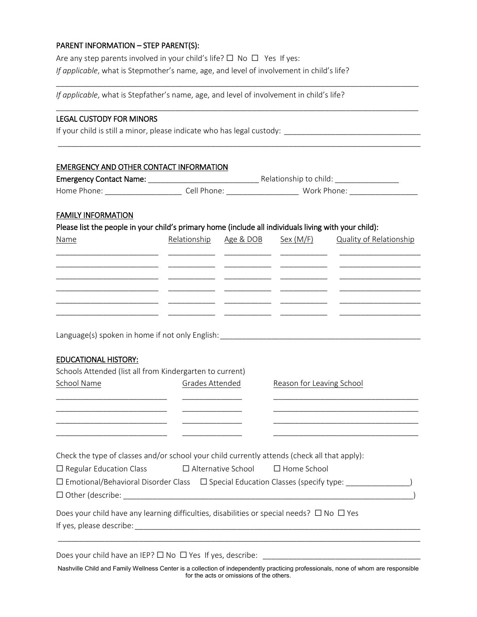## PARENT INFORMATION – STEP PARENT(S):

Are any step parents involved in your child's life?  $\Box$  No  $\Box$  Yes If yes: *If applicable*, what is Stepmother's name, age, and level of involvement in child's life?

*If applicable*, what is Stepfather's name, age, and level of involvement in child's life?

## LEGAL CUSTODY FOR MINORS

If your child is still a minor, please indicate who has legal custody: \_\_\_\_\_\_\_\_\_\_\_\_\_\_\_\_\_\_\_\_\_\_\_\_\_\_\_\_\_\_\_\_

## EMERGENCY AND OTHER CONTACT INFORMATION

| <b>Emergency Contact Name:</b> |             | Relationship to child: |  |
|--------------------------------|-------------|------------------------|--|
| Home Phone: I                  | Cell Phone: | Work Phone:            |  |

\_\_\_\_\_\_\_\_\_\_\_\_\_\_\_\_\_\_\_\_\_\_\_\_\_\_\_\_\_\_\_\_\_\_\_\_\_\_\_\_\_\_\_\_\_\_\_\_\_\_\_\_\_\_\_\_\_\_\_\_\_\_\_\_\_\_\_\_\_\_\_\_\_\_\_\_\_\_\_\_\_\_\_\_\_

\_\_\_\_\_\_\_\_\_\_\_\_\_\_\_\_\_\_\_\_\_\_\_\_\_\_\_\_\_\_\_\_\_\_\_\_\_\_\_\_\_\_\_\_\_\_\_\_\_\_\_\_\_\_\_\_\_\_\_\_\_\_\_\_\_\_\_\_\_\_\_\_\_\_\_\_\_\_\_\_\_\_\_\_\_

\_\_\_\_\_\_\_\_\_\_\_\_\_\_\_\_\_\_\_\_\_\_\_\_\_\_\_\_\_\_\_\_\_\_\_\_\_\_\_\_\_\_\_\_\_\_\_\_\_\_\_\_\_\_\_\_\_\_\_\_\_\_\_\_\_\_\_\_\_\_\_\_\_\_\_\_\_\_\_\_\_\_\_\_\_

## FAMILY INFORMATION

Please list the people in your child's primary home (include all individuals living with your child):

Language(s) spoken in home if not only English: \_\_\_\_\_\_\_\_\_\_\_\_\_\_\_\_\_\_\_\_\_\_\_\_\_\_\_\_\_\_\_\_

## EDUCATIONAL HISTORY:

| Schools Attended (list all from Kindergarten to current)                                                      |                 |                                                                                                                                    |  |
|---------------------------------------------------------------------------------------------------------------|-----------------|------------------------------------------------------------------------------------------------------------------------------------|--|
| School Name                                                                                                   | Grades Attended | Reason for Leaving School                                                                                                          |  |
|                                                                                                               |                 |                                                                                                                                    |  |
|                                                                                                               |                 |                                                                                                                                    |  |
|                                                                                                               |                 |                                                                                                                                    |  |
|                                                                                                               |                 |                                                                                                                                    |  |
|                                                                                                               |                 |                                                                                                                                    |  |
| Check the type of classes and/or school your child currently attends (check all that apply):                  |                 |                                                                                                                                    |  |
| $\Box$ Regular Education Class $\Box$ Alternative School $\Box$ Home School                                   |                 |                                                                                                                                    |  |
|                                                                                                               |                 | $\square$ Emotional/Behavioral Disorder Class $\quad \square$ Special Education Classes (specify type: $\hspace{2cm}$ )            |  |
|                                                                                                               |                 |                                                                                                                                    |  |
| Does your child have any learning difficulties, disabilities or special needs? $\Box$ No $\Box$ Yes           |                 |                                                                                                                                    |  |
|                                                                                                               |                 |                                                                                                                                    |  |
|                                                                                                               |                 |                                                                                                                                    |  |
|                                                                                                               |                 |                                                                                                                                    |  |
| Does your child have an IEP? $\Box$ No $\Box$ Yes If yes, describe: $\Box$ and the state of $\Box$ and $\Box$ |                 |                                                                                                                                    |  |
|                                                                                                               |                 | Nashville Child and Family Wellness Center is a collection of independently practicing professionals, none of whom are responsible |  |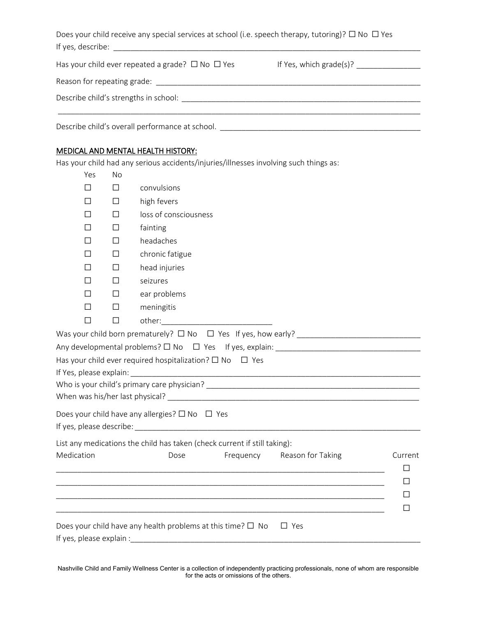|                   | Does your child receive any special services at school (i.e. speech therapy, tutoring)? $\Box$ No $\Box$ Yes |
|-------------------|--------------------------------------------------------------------------------------------------------------|
| If yes, describe: |                                                                                                              |

| Has your child ever repeated a grade? $\Box$ No $\Box$ Yes | If Yes, which grade(s)? |
|------------------------------------------------------------|-------------------------|
| Reason for repeating grade:                                |                         |
| Describe child's strengths in school:                      |                         |
| Describe child's overall performance at school.            |                         |

# MEDICAL AND MENTAL HEALTH HISTORY:

Has your child had any serious accidents/injuries/illnesses involving such things as:

| Yes                      | No     |                                                                                                                       |         |
|--------------------------|--------|-----------------------------------------------------------------------------------------------------------------------|---------|
| $\perp$                  | $\Box$ | convulsions                                                                                                           |         |
| П                        | $\Box$ | high fevers                                                                                                           |         |
| П                        | П      | loss of consciousness                                                                                                 |         |
| $\Box$                   | $\Box$ | fainting                                                                                                              |         |
| П                        | □      | headaches                                                                                                             |         |
| П                        | П      | chronic fatigue                                                                                                       |         |
| $\Box$                   | $\Box$ | head injuries                                                                                                         |         |
| $\mathsf{L}$             | $\Box$ | seizures                                                                                                              |         |
| П                        | $\Box$ | ear problems                                                                                                          |         |
| $\Box$                   | $\Box$ | meningitis                                                                                                            |         |
| $\Box$                   | $\Box$ |                                                                                                                       |         |
|                          |        |                                                                                                                       |         |
|                          |        |                                                                                                                       |         |
|                          |        | Has your child ever required hospitalization? $\square$ No $\square$ Yes                                              |         |
|                          |        |                                                                                                                       |         |
|                          |        |                                                                                                                       |         |
|                          |        |                                                                                                                       |         |
|                          |        | Does your child have any allergies? $\square$ No $\square$ Yes                                                        |         |
|                          |        |                                                                                                                       |         |
|                          |        | List any medications the child has taken (check current if still taking):                                             |         |
| Medication               |        | Frequency<br>Dose<br>Reason for Taking                                                                                | Current |
|                          |        | <u> 1989 - Johann Stoff, amerikansk politiker (d. 1989)</u>                                                           | $\Box$  |
|                          |        |                                                                                                                       | П       |
|                          |        |                                                                                                                       | П       |
|                          |        | <u> 1989 - Johann John Stone, markin film yn y system yn y system yn y system yn y system yn y system yn y system</u> | □       |
|                          |        | Does your child have any health problems at this time? $\Box$ No<br>$\Box$ Yes                                        |         |
| If yes, please explain : |        |                                                                                                                       |         |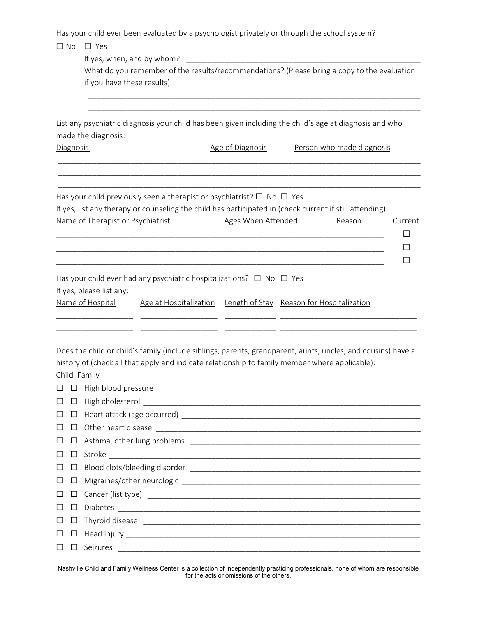Has your child ever been evaluated by a psychologist privately or through the school system?

# ☐ No ☐ Yes

If yes, when, and by whom?

What do you remember of the results/recommendations? (Please bring a copy to the evaluation if you have these results)

\_\_\_\_\_\_\_\_\_\_\_\_\_\_\_\_\_\_\_\_\_\_\_\_\_\_\_\_\_\_\_\_\_\_\_\_\_\_\_\_\_\_\_\_\_\_\_\_\_\_\_\_\_\_\_\_\_\_\_\_\_\_\_\_\_\_\_\_\_\_\_\_\_\_\_\_\_\_ \_\_\_\_\_\_\_\_\_\_\_\_\_\_\_\_\_\_\_\_\_\_\_\_\_\_\_\_\_\_\_\_\_\_\_\_\_\_\_\_\_\_\_\_\_\_\_\_\_\_\_\_\_\_\_\_\_\_\_\_\_\_\_\_\_\_\_\_\_\_\_\_\_\_\_\_\_\_

List any psychiatric diagnosis your child has been given including the child's age at diagnosis and who made the diagnosis:

\_\_\_\_\_\_\_\_\_\_\_\_\_\_\_\_\_\_\_\_\_\_\_\_\_\_\_\_\_\_\_\_\_\_\_\_\_\_\_\_\_\_\_\_\_\_\_\_\_\_\_\_\_\_\_\_\_\_\_\_\_\_\_\_\_\_\_\_\_\_\_\_\_\_\_\_\_\_\_\_\_\_\_\_\_ \_\_\_\_\_\_\_\_\_\_\_\_\_\_\_\_\_\_\_\_\_\_\_\_\_\_\_\_\_\_\_\_\_\_\_\_\_\_\_\_\_\_\_\_\_\_\_\_\_\_\_\_\_\_\_\_\_\_\_\_\_\_\_\_\_\_\_\_\_\_\_\_\_\_\_\_\_\_\_\_\_\_\_\_\_ \_\_\_\_\_\_\_\_\_\_\_\_\_\_\_\_\_\_\_\_\_\_\_\_\_\_\_\_\_\_\_\_\_\_\_\_\_\_\_\_\_\_\_\_\_\_\_\_\_\_\_\_\_\_\_\_\_\_\_\_\_\_\_\_\_\_\_\_\_\_\_\_\_\_\_\_\_\_\_\_\_\_\_\_\_

Diagnosis **Diagnosis** Age of Diagnosis Person who made diagnosis

Has your child previously seen a therapist or psychiatrist?  $\Box$  No  $\Box$  Yes If yes, list any therapy or counseling the child has participated in (check current if still attending): Name of Therapist or Psychiatrist **Ages When Attended** Reason Current

|                          | Has your child ever had any psychiatric hospitalizations? $\Box$ No $\Box$ Yes |                                                                  |
|--------------------------|--------------------------------------------------------------------------------|------------------------------------------------------------------|
| If yes, please list any: |                                                                                |                                                                  |
| Name of Hospital         |                                                                                | Age at Hospitalization Length of Stay Reason for Hospitalization |

Does the child or child's family (include siblings, parents, grandparent, aunts, uncles, and cousins) have a history of (check all that apply and indicate relationship to family member where applicable): Child Family

\_\_\_\_\_\_\_\_\_\_\_\_\_\_\_\_\_\_ \_\_\_\_\_\_\_\_\_\_\_\_\_\_\_\_\_\_ \_\_\_\_\_\_\_\_\_\_\_\_ \_\_\_\_\_\_\_\_\_\_\_\_\_\_\_\_\_\_\_\_\_\_\_\_\_\_\_\_\_\_\_\_ \_\_\_\_\_\_\_\_\_\_\_\_\_\_\_\_\_\_ \_\_\_\_\_\_\_\_\_\_\_\_\_\_\_\_\_\_ \_\_\_\_\_\_\_\_\_\_\_\_ \_\_\_\_\_\_\_\_\_\_\_\_\_\_\_\_\_\_\_\_\_\_\_\_\_\_\_\_\_\_\_\_

|  | $\Box$ $\Box$ $\Box$ Asthma, other lung problems<br><br><br><br><br><br><br><br><br><br><br><br><br><br><br><br><br><br><br><br><br><br><br><br><br><br> |
|--|----------------------------------------------------------------------------------------------------------------------------------------------------------|
|  |                                                                                                                                                          |
|  |                                                                                                                                                          |
|  |                                                                                                                                                          |
|  |                                                                                                                                                          |
|  |                                                                                                                                                          |
|  |                                                                                                                                                          |
|  |                                                                                                                                                          |
|  |                                                                                                                                                          |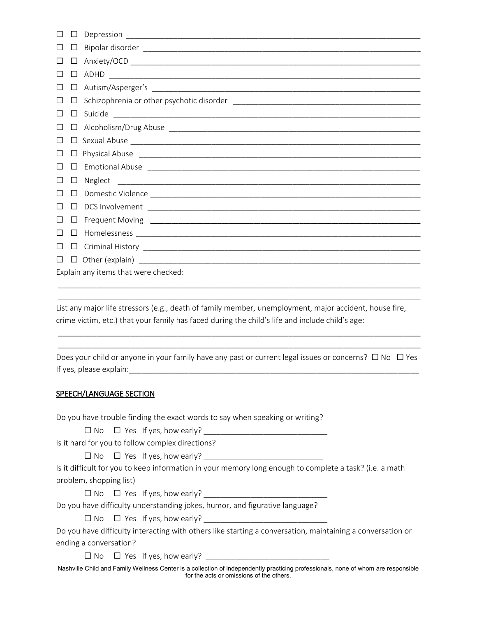|         | $\Box$ |                                               |
|---------|--------|-----------------------------------------------|
| $\Box$  |        |                                               |
| $\perp$ | $\Box$ |                                               |
|         | ⊔      |                                               |
| $\perp$ |        |                                               |
|         |        |                                               |
|         |        |                                               |
|         |        |                                               |
|         |        |                                               |
|         |        | $\Box \text{ Physical Abuse } \_\_\_\_\_\_\_$ |
|         |        |                                               |
|         | $\Box$ |                                               |
|         | $\Box$ |                                               |
|         |        |                                               |
|         |        |                                               |
|         | $\Box$ |                                               |
|         |        |                                               |
|         |        |                                               |
|         |        | Explain any items that were checked:          |

List any major life stressors (e.g., death of family member, unemployment, major accident, house fire, crime victim, etc.) that your family has faced during the child's life and include child's age:

\_\_\_\_\_\_\_\_\_\_\_\_\_\_\_\_\_\_\_\_\_\_\_\_\_\_\_\_\_\_\_\_\_\_\_\_\_\_\_\_\_\_\_\_\_\_\_\_\_\_\_\_\_\_\_\_\_\_\_\_\_\_\_\_\_\_\_\_\_\_\_\_\_\_\_\_\_\_\_\_\_\_\_\_\_ \_\_\_\_\_\_\_\_\_\_\_\_\_\_\_\_\_\_\_\_\_\_\_\_\_\_\_\_\_\_\_\_\_\_\_\_\_\_\_\_\_\_\_\_\_\_\_\_\_\_\_\_\_\_\_\_\_\_\_\_\_\_\_\_\_\_\_\_\_\_\_\_\_\_\_\_\_\_\_\_\_\_\_\_\_

Does your child or anyone in your family have any past or current legal issues or concerns? □ No □ Yes If yes, please explain:

\_\_\_\_\_\_\_\_\_\_\_\_\_\_\_\_\_\_\_\_\_\_\_\_\_\_\_\_\_\_\_\_\_\_\_\_\_\_\_\_\_\_\_\_\_\_\_\_\_\_\_\_\_\_\_\_\_\_\_\_\_\_\_\_\_\_\_\_\_\_\_\_\_\_\_\_\_\_\_\_\_\_\_\_\_ \_\_\_\_\_\_\_\_\_\_\_\_\_\_\_\_\_\_\_\_\_\_\_\_\_\_\_\_\_\_\_\_\_\_\_\_\_\_\_\_\_\_\_\_\_\_\_\_\_\_\_\_\_\_\_\_\_\_\_\_\_\_\_\_\_\_\_\_\_\_\_\_\_\_\_\_\_\_\_\_\_\_\_\_\_

## SPEECH/LANGUAGE SECTION

Do you have trouble finding the exact words to say when speaking or writing?

 $\Box$  No  $\Box$  Yes If yes, how early?

Is it hard for you to follow complex directions?

 $\Box$  No  $\Box$  Yes If yes, how early?

Is it difficult for you to keep information in your memory long enough to complete a task? (i.e. a math problem, shopping list)

 $\Box$  No  $\Box$  Yes If yes, how early?

Do you have difficulty understanding jokes, humor, and figurative language?

 $\Box$  No  $\Box$  Yes If yes, how early?

Do you have difficulty interacting with others like starting a conversation, maintaining a conversation or ending a conversation?

 $\Box$  No  $\Box$  Yes If yes, how early?